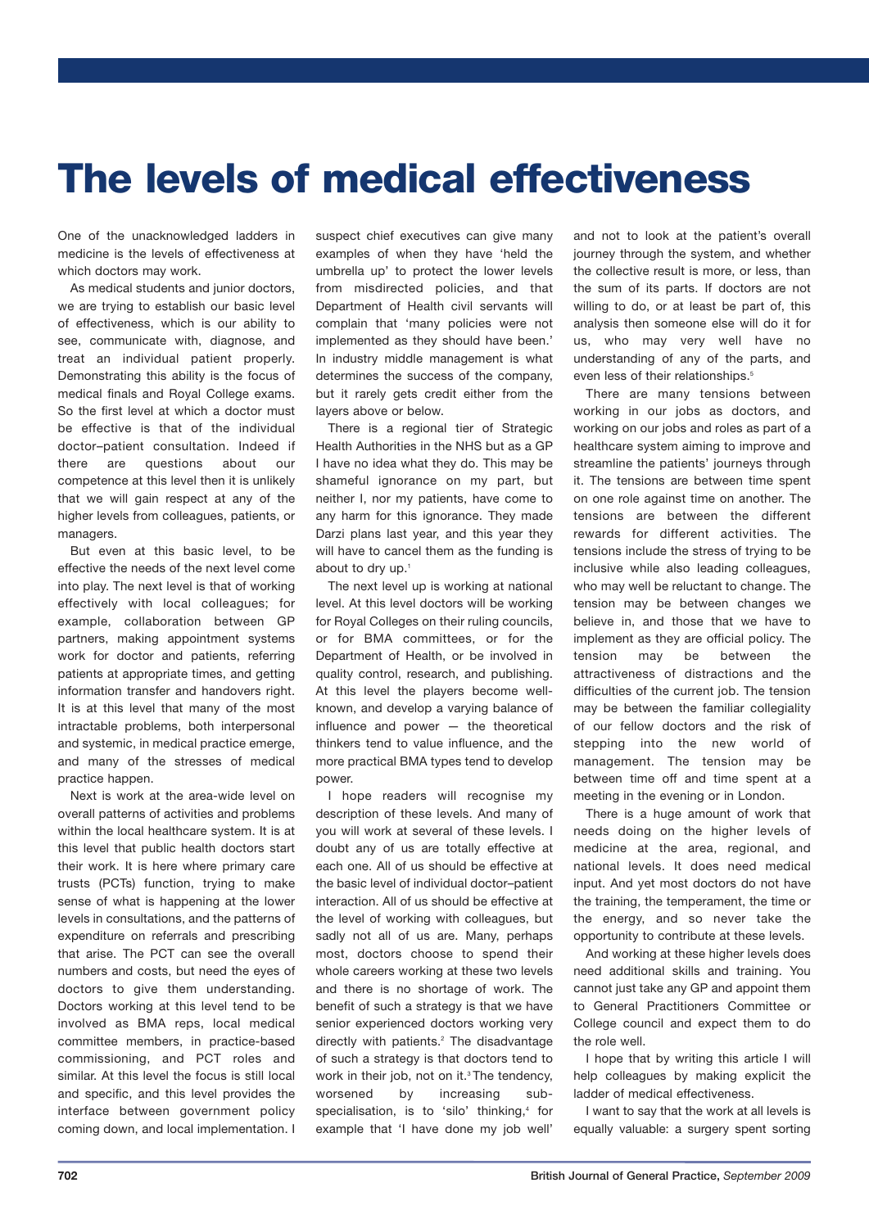# **The levels of medical effectiveness**

One of the unacknowledged ladders in medicine is the levels of effectiveness at which doctors may work.

As medical students and junior doctors, we are trying to establish our basic level of effectiveness, which is our ability to see, communicate with, diagnose, and treat an individual patient properly. Demonstrating this ability is the focus of medical finals and Royal College exams. So the first level at which a doctor must be effective is that of the individual doctor–patient consultation. Indeed if there are questions about our competence at this level then it is unlikely that we will gain respect at any of the higher levels from colleagues, patients, or managers.

But even at this basic level, to be effective the needs of the next level come into play. The next level is that of working effectively with local colleagues; for example, collaboration between GP partners, making appointment systems work for doctor and patients, referring patients at appropriate times, and getting information transfer and handovers right. It is at this level that many of the most intractable problems, both interpersonal and systemic, in medical practice emerge, and many of the stresses of medical practice happen.

Next is work at the area-wide level on overall patterns of activities and problems within the local healthcare system. It is at this level that public health doctors start their work. It is here where primary care trusts (PCTs) function, trying to make sense of what is happening at the lower levels in consultations, and the patterns of expenditure on referrals and prescribing that arise. The PCT can see the overall numbers and costs, but need the eyes of doctors to give them understanding. Doctors working at this level tend to be involved as BMA reps, local medical committee members, in practice-based commissioning, and PCT roles and similar. At this level the focus is still local and specific, and this level provides the interface between government policy coming down, and local implementation. I suspect chief executives can give many examples of when they have 'held the umbrella up' to protect the lower levels from misdirected policies, and that Department of Health civil servants will complain that 'many policies were not implemented as they should have been.' In industry middle management is what determines the success of the company, but it rarely gets credit either from the layers above or below.

There is a regional tier of Strategic Health Authorities in the NHS but as a GP I have no idea what they do. This may be shameful ignorance on my part, but neither I, nor my patients, have come to any harm for this ignorance. They made Darzi plans last year, and this year they will have to cancel them as the funding is about to dry up. 1

The next level up is working at national level. At this level doctors will be working for Royal Colleges on their ruling councils, or for BMA committees, or for the Department of Health, or be involved in quality control, research, and publishing. At this level the players become wellknown, and develop a varying balance of influence and power — the theoretical thinkers tend to value influence, and the more practical BMA types tend to develop power.

I hope readers will recognise my description of these levels. And many of you will work at several of these levels. I doubt any of us are totally effective at each one. All of us should be effective at the basic level of individual doctor–patient interaction. All of us should be effective at the level of working with colleagues, but sadly not all of us are. Many, perhaps most, doctors choose to spend their whole careers working at these two levels and there is no shortage of work. The benefit of such a strategy is that we have senior experienced doctors working very directly with patients. <sup>2</sup> The disadvantage of such a strategy is that doctors tend to work in their job, not on it. <sup>3</sup> The tendency, worsened by increasing subspecialisation, is to 'silo' thinking, <sup>4</sup> for example that 'I have done my job well'

and not to look at the patient's overall journey through the system, and whether the collective result is more, or less, than the sum of its parts. If doctors are not willing to do, or at least be part of, this analysis then someone else will do it for us, who may very well have no understanding of any of the parts, and even less of their relationships.<sup>5</sup>

There are many tensions between working in our jobs as doctors, and working on our jobs and roles as part of a healthcare system aiming to improve and streamline the patients' journeys through it. The tensions are between time spent on one role against time on another. The tensions are between the different rewards for different activities. The tensions include the stress of trying to be inclusive while also leading colleagues, who may well be reluctant to change. The tension may be between changes we believe in, and those that we have to implement as they are official policy. The tension may be between the attractiveness of distractions and the difficulties of the current job. The tension may be between the familiar collegiality of our fellow doctors and the risk of stepping into the new world of management. The tension may be between time off and time spent at a meeting in the evening or in London.

There is a huge amount of work that needs doing on the higher levels of medicine at the area, regional, and national levels. It does need medical input. And yet most doctors do not have the training, the temperament, the time or the energy, and so never take the opportunity to contribute at these levels.

And working at these higher levels does need additional skills and training. You cannot just take any GP and appoint them to General Practitioners Committee or College council and expect them to do the role well.

I hope that by writing this article I will help colleagues by making explicit the ladder of medical effectiveness.

I want to say that the work at all levels is equally valuable: a surgery spent sorting